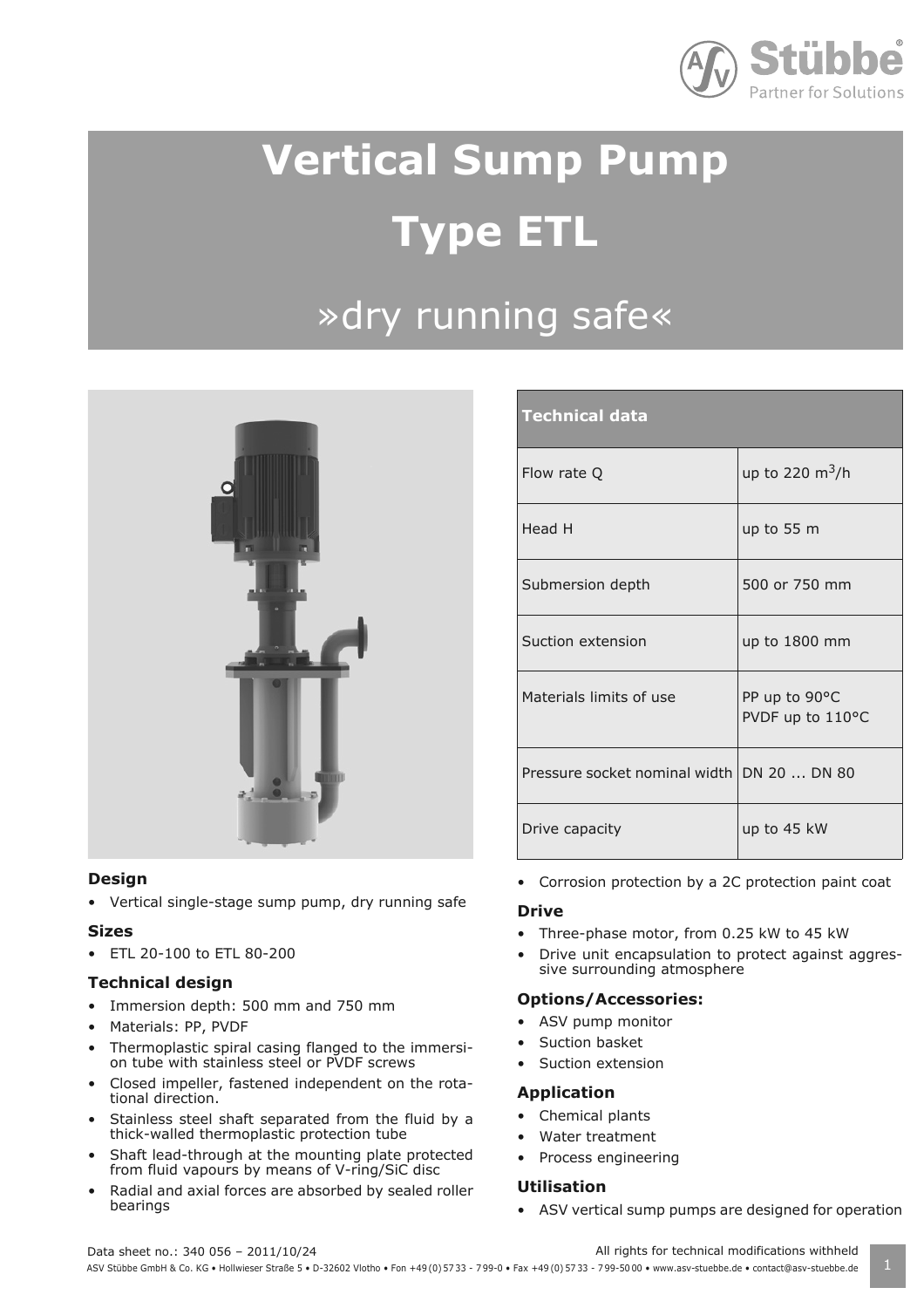

## **Vertical Sump Pump Type ETL**

### »dry running safe«



#### **Design**

• Vertical single-stage sump pump, dry running safe

#### **Sizes**

• ETL 20-100 to ETL 80-200

#### **Technical design**

- Immersion depth: 500 mm and 750 mm
- Materials: PP, PVDF
- Thermoplastic spiral casing flanged to the immersion tube with stainless steel or PVDF screws
- Closed impeller, fastened independent on the rotational direction.
- Stainless steel shaft separated from the fluid by a thick-walled thermoplastic protection tube
- Shaft lead-through at the mounting plate protected from fluid vapours by means of V-ring/SiC disc
- Radial and axial forces are absorbed by sealed roller bearings

| <b>Technical data</b>                      |                                   |
|--------------------------------------------|-----------------------------------|
| Flow rate Q                                | up to 220 $\rm m^3/h$             |
| Head H                                     | up to 55 m                        |
| Submersion depth                           | 500 or 750 mm                     |
| Suction extension                          | up to $1800$ mm                   |
| Materials limits of use                    | PP up to 90°C<br>PVDF up to 110°C |
| Pressure socket nominal width DN 20  DN 80 |                                   |
| Drive capacity                             | up to 45 kW                       |

• Corrosion protection by a 2C protection paint coat

#### **Drive**

- Three-phase motor, from 0.25 kW to 45 kW
- Drive unit encapsulation to protect against aggressive surrounding atmosphere

#### **Options/Accessories:**

- ASV pump monitor
- Suction basket
- Suction extension

#### **Application**

- Chemical plants
- Water treatment
- Process engineering

#### **Utilisation**

• ASV vertical sump pumps are designed for operation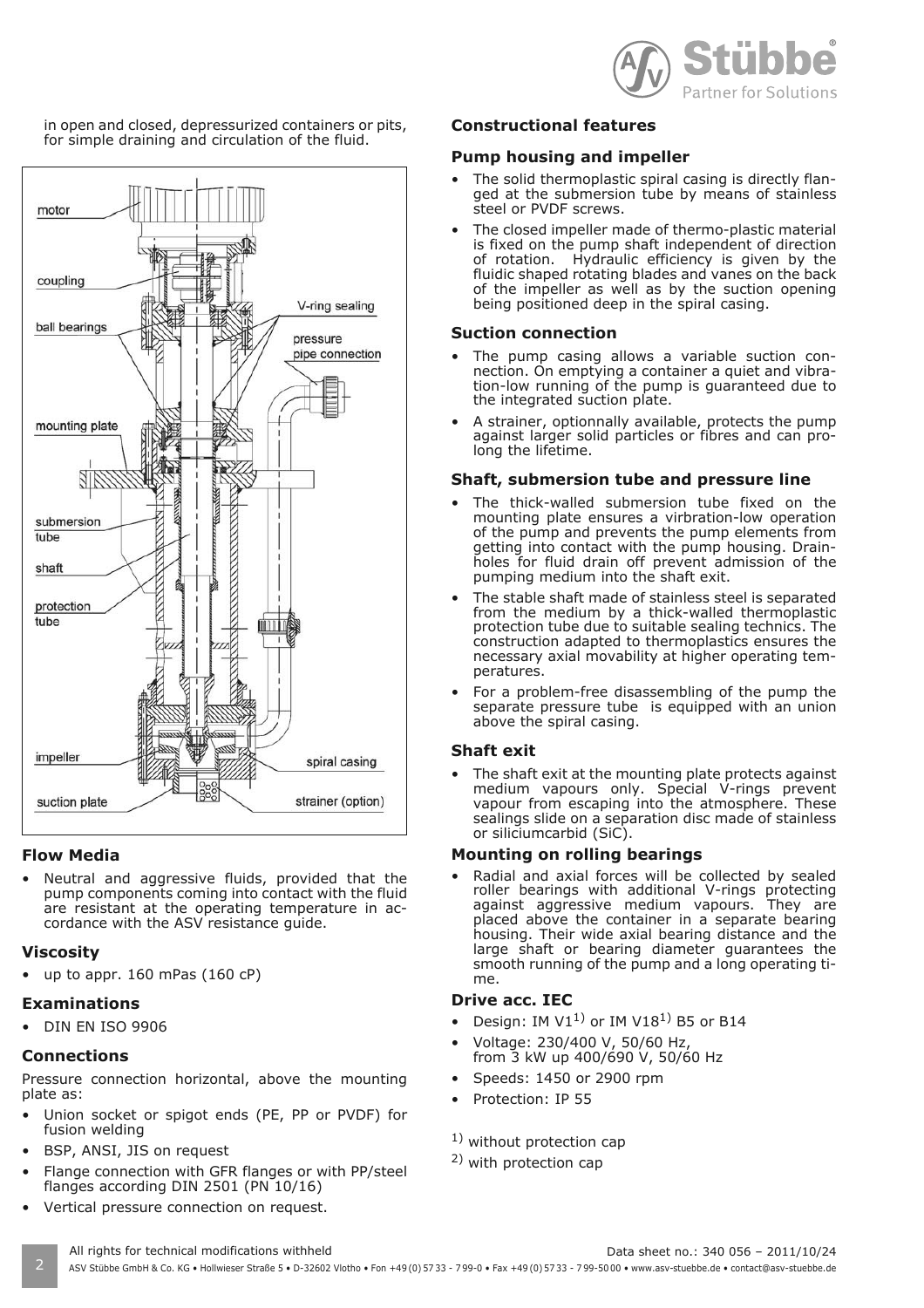

in open and closed, depressurized containers or pits, for simple draining and circulation of the fluid.



#### **Flow Media**

Neutral and aggressive fluids, provided that the pump components coming into contact with the fluid are resistant at the operating temperature in accordance with the ASV resistance guide.

#### **Viscosity**

up to appr.  $160$  mPas ( $160$  cP)

#### **Examinations**

• DIN EN ISO 9906

#### **Connections**

Pressure connection horizontal, above the mounting plate as:

- Union socket or spigot ends (PE, PP or PVDF) for fusion welding
- BSP, ANSI, JIS on request
- Flange connection with GFR flanges or with PP/steel flanges according DIN 2501 (PN 10/16)
- Vertical pressure connection on request.

#### **Constructional features**

#### **Pump housing and impeller**

- The solid thermoplastic spiral casing is directly flanged at the submersion tube by means of stainless steel or PVDF screws.
- The closed impeller made of thermo-plastic material is fixed on the pump shaft independent of direction of rotation. Hydraulic efficiency is given by the fluidic shaped rotating blades and vanes on the back of the impeller as well as by the suction opening being positioned deep in the spiral casing.

#### **Suction connection**

- The pump casing allows a variable suction connection. On emptying a container a quiet and vibration-low running of the pump is guaranteed due to the integrated suction plate.
- A strainer, optionnally available, protects the pump against larger solid particles or fibres and can prolong the lifetime.

#### **Shaft, submersion tube and pressure line**

- The thick-walled submersion tube fixed on the mounting plate ensures a virbration-low operation of the pump and prevents the pump elements from getting into contact with the pump housing. Drainholes for fluid drain off prevent admission of the pumping medium into the shaft exit.
- The stable shaft made of stainless steel is separated from the medium by a thick-walled thermoplastic protection tube due to suitable sealing technics. The construction adapted to thermoplastics ensures the necessary axial movability at higher operating temperatures.
- For a problem-free disassembling of the pump the separate pressure tube is equipped with an union above the spiral casing.

#### **Shaft exit**

The shaft exit at the mounting plate protects against medium vapours only. Special V-rings prevent vapour from escaping into the atmosphere. These sealings slide on a separation disc made of stainless or siliciumcarbid (SiC).

#### **Mounting on rolling bearings**

Radial and axial forces will be collected by sealed roller bearings with additional V-rings protecting against aggressive medium vapours. They are placed above the container in a separate bearing housing. Their wide axial bearing distance and the large shaft or bearing diameter guarantees the smooth running of the pump and a long operating time.

#### **Drive acc. IEC**

- Design: IM  $V1<sup>1</sup>$  or IM  $V18<sup>1</sup>$  B5 or B14
- Voltage: 230/400 V, 50/60 Hz,
- from 3 kW up 400/690 V, 50/60 Hz
- Speeds: 1450 or 2900 rpm
- Protection: IP 55

#### <sup>1)</sup> without protection cap

2) with protection cap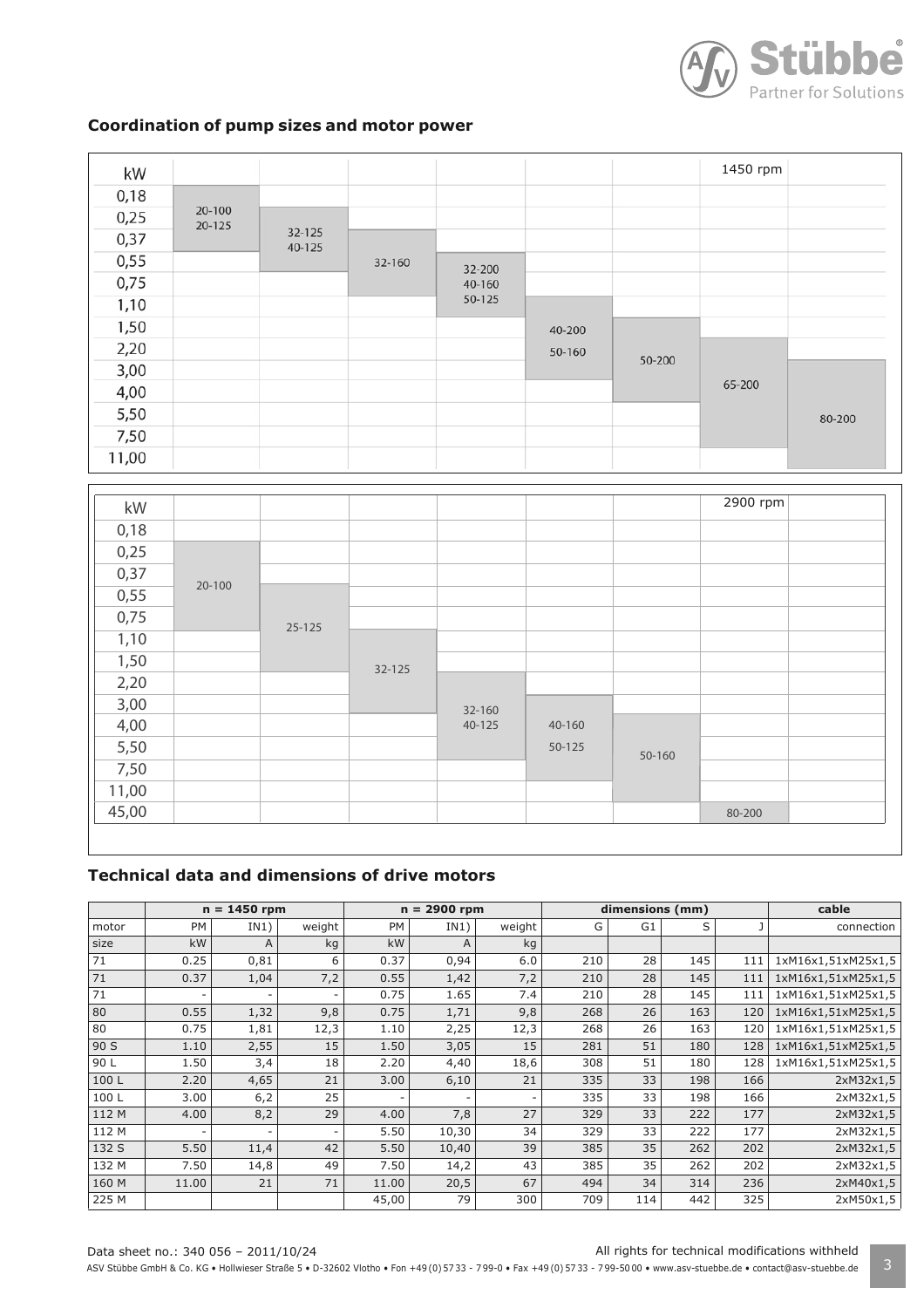

#### **Coordination of pump sizes and motor power**

| kW    |                  |                  |        |        |        |        | 1450 rpm |        |
|-------|------------------|------------------|--------|--------|--------|--------|----------|--------|
| 0,18  |                  |                  |        |        |        |        |          |        |
| 0,25  | 20-100<br>20-125 |                  |        |        |        |        |          |        |
| 0,37  |                  | 32-125<br>40-125 |        |        |        |        |          |        |
| 0,55  |                  |                  | 32-160 | 32-200 |        |        |          |        |
| 0,75  |                  |                  |        | 40-160 |        |        |          |        |
| 1,10  |                  |                  |        | 50-125 |        |        |          |        |
| 1,50  |                  |                  |        |        | 40-200 |        |          |        |
| 2,20  |                  |                  |        |        | 50-160 | 50-200 |          |        |
| 3,00  |                  |                  |        |        |        |        |          |        |
| 4,00  |                  |                  |        |        |        |        | 65-200   |        |
| 5,50  |                  |                  |        |        |        |        |          | 80-200 |
| 7,50  |                  |                  |        |        |        |        |          |        |
| 11,00 |                  |                  |        |        |        |        |          |        |

| kW    |        |            |        |        |        |        | 2900 rpm |  |
|-------|--------|------------|--------|--------|--------|--------|----------|--|
| 0,18  |        |            |        |        |        |        |          |  |
| 0,25  |        |            |        |        |        |        |          |  |
| 0,37  | 20-100 |            |        |        |        |        |          |  |
| 0,55  |        |            |        |        |        |        |          |  |
| 0,75  |        | $25 - 125$ |        |        |        |        |          |  |
| 1,10  |        |            |        |        |        |        |          |  |
| 1,50  |        |            | 32-125 |        |        |        |          |  |
| 2,20  |        |            |        |        |        |        |          |  |
| 3,00  |        |            |        | 32-160 |        |        |          |  |
| 4,00  |        |            |        | 40-125 | 40-160 |        |          |  |
| 5,50  |        |            |        |        | 50-125 | 50-160 |          |  |
| 7,50  |        |            |        |        |        |        |          |  |
| 11,00 |        |            |        |        |        |        |          |  |
| 45,00 |        |            |        |        |        |        | 80-200   |  |

#### **Technical data and dimensions of drive motors**

|       |           | 1450 rpm<br>$n =$ |        |           | $n = 2900$ rpm |        |     | dimensions (mm) | cable |     |                    |
|-------|-----------|-------------------|--------|-----------|----------------|--------|-----|-----------------|-------|-----|--------------------|
| motor | <b>PM</b> | IN1)              | weight | <b>PM</b> | IN1)           | weight | G   | G1              | S     |     | connection         |
| size  | kW        | A                 | kg     | kW        | $\mathsf{A}$   | kg     |     |                 |       |     |                    |
| 71    | 0.25      | 0,81              | 6      | 0.37      | 0,94           | 6.0    | 210 | 28              | 145   | 111 | 1xM16x1,51xM25x1,5 |
| 71    | 0.37      | 1,04              | 7,2    | 0.55      | 1,42           | 7,2    | 210 | 28              | 145   | 111 | 1xM16x1,51xM25x1,5 |
| 71    |           |                   |        | 0.75      | 1.65           | 7.4    | 210 | 28              | 145   | 111 | 1xM16x1,51xM25x1,5 |
| 80    | 0.55      | 1,32              | 9,8    | 0.75      | 1,71           | 9,8    | 268 | 26              | 163   | 120 | 1xM16x1,51xM25x1,5 |
| 80    | 0.75      | 1,81              | 12,3   | 1.10      | 2,25           | 12,3   | 268 | 26              | 163   | 120 | 1xM16x1,51xM25x1,5 |
| 90 S  | 1.10      | 2,55              | 15     | 1.50      | 3,05           | 15     | 281 | 51              | 180   | 128 | 1xM16x1,51xM25x1,5 |
| 90 L  | 1.50      | 3,4               | 18     | 2.20      | 4,40           | 18,6   | 308 | 51              | 180   | 128 | 1xM16x1,51xM25x1,5 |
| 100 L | 2.20      | 4,65              | 21     | 3.00      | 6,10           | 21     | 335 | 33              | 198   | 166 | 2xM32x1,5          |
| 100L  | 3.00      | 6,2               | 25     |           |                |        | 335 | 33              | 198   | 166 | 2xM32x1,5          |
| 112 M | 4.00      | 8,2               | 29     | 4.00      | 7,8            | 27     | 329 | 33              | 222   | 177 | 2xM32x1,5          |
| 112 M |           |                   |        | 5.50      | 10,30          | 34     | 329 | 33              | 222   | 177 | 2xM32x1,5          |
| 132 S | 5.50      | 11,4              | 42     | 5.50      | 10,40          | 39     | 385 | 35              | 262   | 202 | 2xM32x1,5          |
| 132 M | 7.50      | 14,8              | 49     | 7.50      | 14,2           | 43     | 385 | 35              | 262   | 202 | 2xM32x1,5          |
| 160 M | 11.00     | 21                | 71     | 11.00     | 20,5           | 67     | 494 | 34              | 314   | 236 | 2xM40x1,5          |
| 225 M |           |                   |        | 45,00     | 79             | 300    | 709 | 114             | 442   | 325 | 2xM50x1,5          |

Data sheet no.: 340 056 – 2011/10/24 All rights for technical modifications withheld

ASV Stübbe GmbH & Co. KG • Hollwieser Straße 5 • D-32602 Vlotho • Fon +49 (0) 57 33 - 799-0 • Fax +49 (0) 57 33 - 799-5000 • www.asv-stuebbe.de • contact@asv-stuebbe.de | 3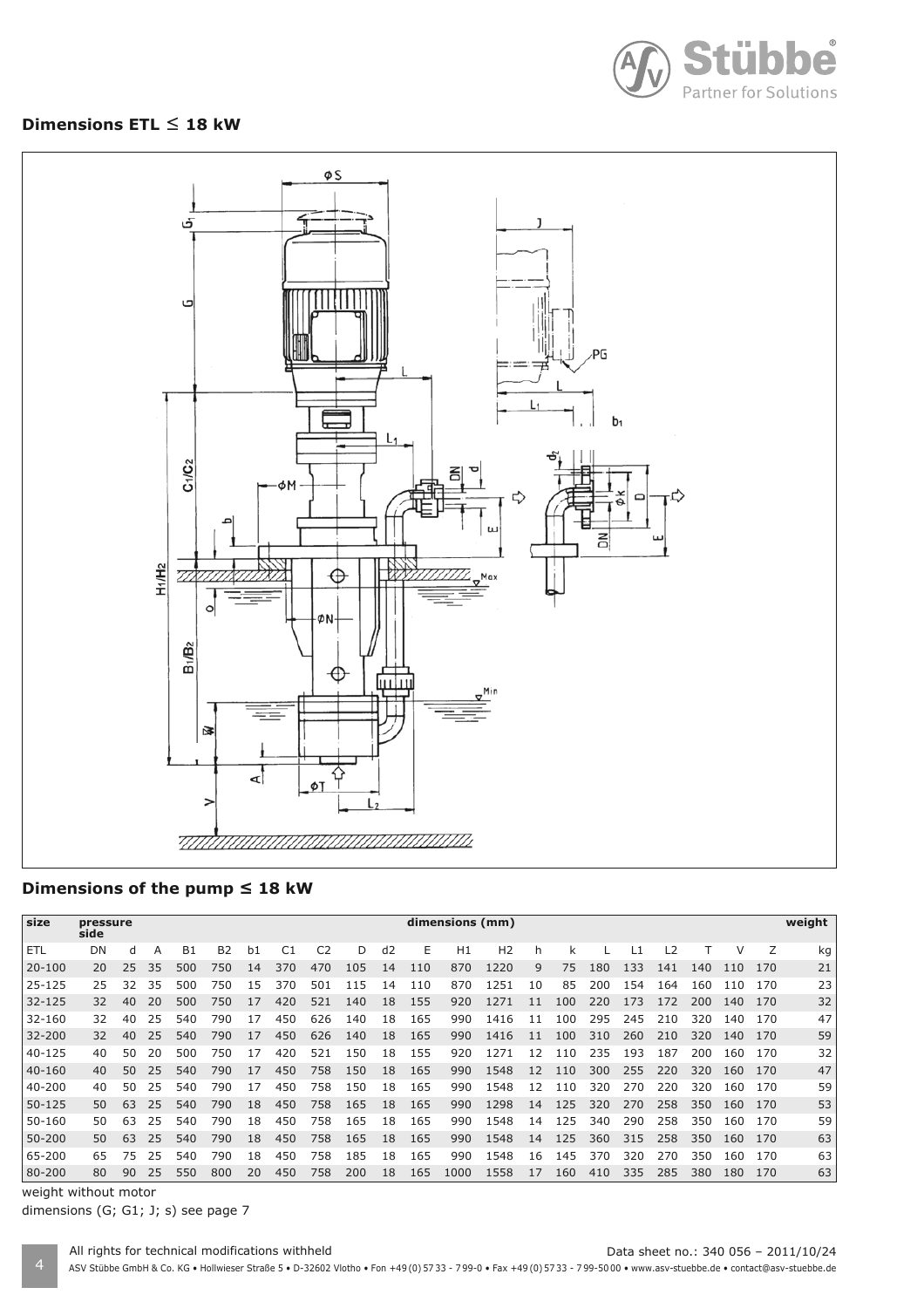

#### **Dimensions ETL ≤ 18 kW**



#### Dimensions of the pump ≤ 18 kW

| size       | pressure<br>side |    |    |           |                |    |                |     |     |    |     | dimensions (mm) |                |    |     |     |     |     |     |     |     | weight |
|------------|------------------|----|----|-----------|----------------|----|----------------|-----|-----|----|-----|-----------------|----------------|----|-----|-----|-----|-----|-----|-----|-----|--------|
| <b>ETL</b> | DN               | d  | A  | <b>B1</b> | B <sub>2</sub> | b1 | C <sub>1</sub> | C2  | D   | d2 | E   | H1              | H <sub>2</sub> | h  | k   |     |     | L2  |     |     |     | kg     |
| $20 - 100$ | 20               | 25 | 35 | 500       | 750            | 14 | 370            | 470 | 105 | 14 | 110 | 870             | 1220           | 9  | 75  | 180 | 133 | 141 | 140 | 110 | 170 | 21     |
| 25-125     | 25               | 32 | 35 | 500       | 750            | 15 | 370            | 501 | 115 | 14 | 110 | 870             | 1251           | 10 | 85  | 200 | 154 | 164 | 160 | 110 | 170 | 23     |
| $32 - 125$ | 32               | 40 | 20 | 500       | 750            | 17 | 420            | 521 | 140 | 18 | 155 | 920             | 1271           | 11 | 100 | 220 | 173 | 172 | 200 | 140 | 170 | 32     |
| 32-160     | 32               | 40 | 25 | 540       | 790            | 17 | 450            | 626 | 140 | 18 | 165 | 990             | 1416           | 11 | 100 | 295 | 245 | 210 | 320 | 140 | 170 | 47     |
| 32-200     | 32               | 40 | 25 | 540       | 790            | 17 | 450            | 626 | 140 | 18 | 165 | 990             | 1416           | 11 | 100 | 310 | 260 | 210 | 320 | 140 | 170 | 59     |
| 40-125     | 40               | 50 | 20 | 500       | 750            | 17 | 420            | 521 | 150 | 18 | 155 | 920             | 1271           | 12 | 110 | 235 | 193 | 187 | 200 | 160 | 170 | 32     |
| 40-160     | 40               | 50 | 25 | 540       | 790            | 17 | 450            | 758 | 150 | 18 | 165 | 990             | 1548           | 12 | 110 | 300 | 255 | 220 | 320 | 160 | 170 | 47     |
| 40-200     | 40               | 50 | 25 | 540       | 790            | 17 | 450            | 758 | 150 | 18 | 165 | 990             | 1548           | 12 | 110 | 320 | 270 | 220 | 320 | 160 | 170 | 59     |
| $50 - 125$ | 50               | 63 | 25 | 540       | 790            | 18 | 450            | 758 | 165 | 18 | 165 | 990             | 1298           | 14 | 125 | 320 | 270 | 258 | 350 | 160 | 170 | 53     |
| 50-160     | 50               | 63 | 25 | 540       | 790            | 18 | 450            | 758 | 165 | 18 | 165 | 990             | 1548           | 14 | 125 | 340 | 290 | 258 | 350 | 160 | 170 | 59     |
| 50-200     | 50               | 63 | 25 | 540       | 790            | 18 | 450            | 758 | 165 | 18 | 165 | 990             | 1548           | 14 | 125 | 360 | 315 | 258 | 350 | 160 | 170 | 63     |
| 65-200     | 65               | 75 | 25 | 540       | 790            | 18 | 450            | 758 | 185 | 18 | 165 | 990             | 1548           | 16 | 145 | 370 | 320 | 270 | 350 | 160 | 170 | 63     |
| 80-200     | 80               | 90 | 25 | 550       | 800            | 20 | 450            | 758 | 200 | 18 | 165 | 1000            | 1558           | 17 | 160 | 410 | 335 | 285 | 380 | 180 | 170 | 63     |

weight without motor

dimensions (G; G1; J; s) see page 7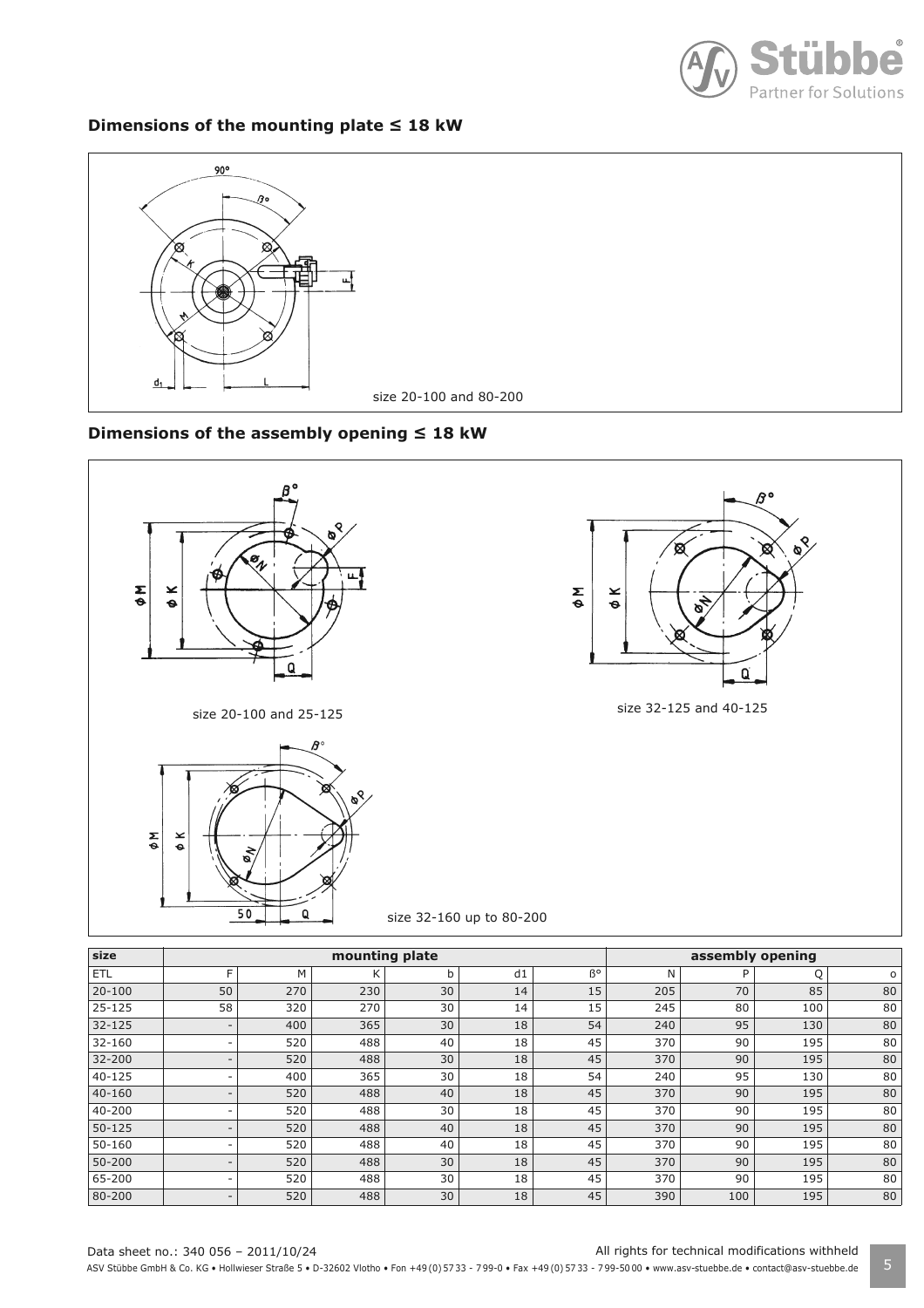

#### **Dimensions of the mounting plate 18 kW**



#### **Dimensions of the assembly opening 18 kW**



size 32-160 up to 80-200

| size       |                          |     | mounting plate |    |    | assembly opening |     |     |     |         |
|------------|--------------------------|-----|----------------|----|----|------------------|-----|-----|-----|---------|
| ETL        | Е                        | M   | К              | b  | d1 | B°               | N   | P   | Q   | $\circ$ |
| $20 - 100$ | 50                       | 270 | 230            | 30 | 14 | 15               | 205 | 70  | 85  | 80      |
| $25 - 125$ | 58                       | 320 | 270            | 30 | 14 | 15               | 245 | 80  | 100 | 80      |
| $32 - 125$ |                          | 400 | 365            | 30 | 18 | 54               | 240 | 95  | 130 | 80      |
| 32-160     |                          | 520 | 488            | 40 | 18 | 45               | 370 | 90  | 195 | 80      |
| $32 - 200$ |                          | 520 | 488            | 30 | 18 | 45               | 370 | 90  | 195 | 80      |
| $40 - 125$ |                          | 400 | 365            | 30 | 18 | 54               | 240 | 95  | 130 | 80      |
| $40 - 160$ |                          | 520 | 488            | 40 | 18 | 45               | 370 | 90  | 195 | 80      |
| 40-200     |                          | 520 | 488            | 30 | 18 | 45               | 370 | 90  | 195 | 80      |
| $50 - 125$ |                          | 520 | 488            | 40 | 18 | 45               | 370 | 90  | 195 | 80      |
| 50-160     |                          | 520 | 488            | 40 | 18 | 45               | 370 | 90  | 195 | 80      |
| 50-200     |                          | 520 | 488            | 30 | 18 | 45               | 370 | 90  | 195 | 80      |
| 65-200     |                          | 520 | 488            | 30 | 18 | 45               | 370 | 90  | 195 | 80      |
| 80-200     | $\overline{\phantom{a}}$ | 520 | 488            | 30 | 18 | 45               | 390 | 100 | 195 | 80      |

Data sheet no.: 340 056 – 2011/10/24 All rights for technical modifications withheld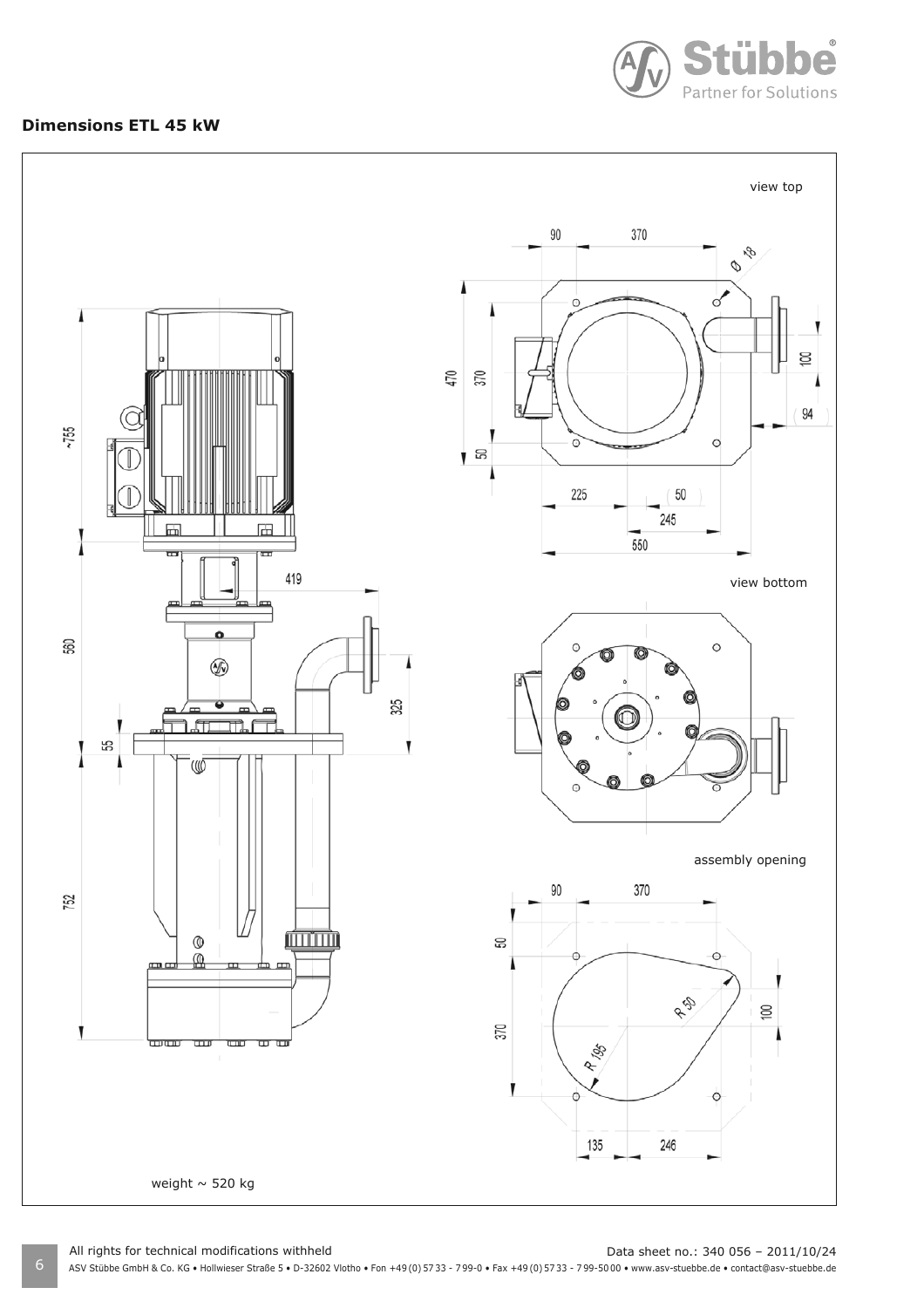

#### **Dimensions ETL 45 kW**



6 ASV Stübbe GmbH & Co. KG • Hollwieser Straße 5 • D-32602 Vlotho • Fon +49 (0) 57 33 - 7 99-0 • Fax +49 (0) 57 33 - 7 99-50 00 • www.asv-stuebbe.de • contact@asv-stuebbe.de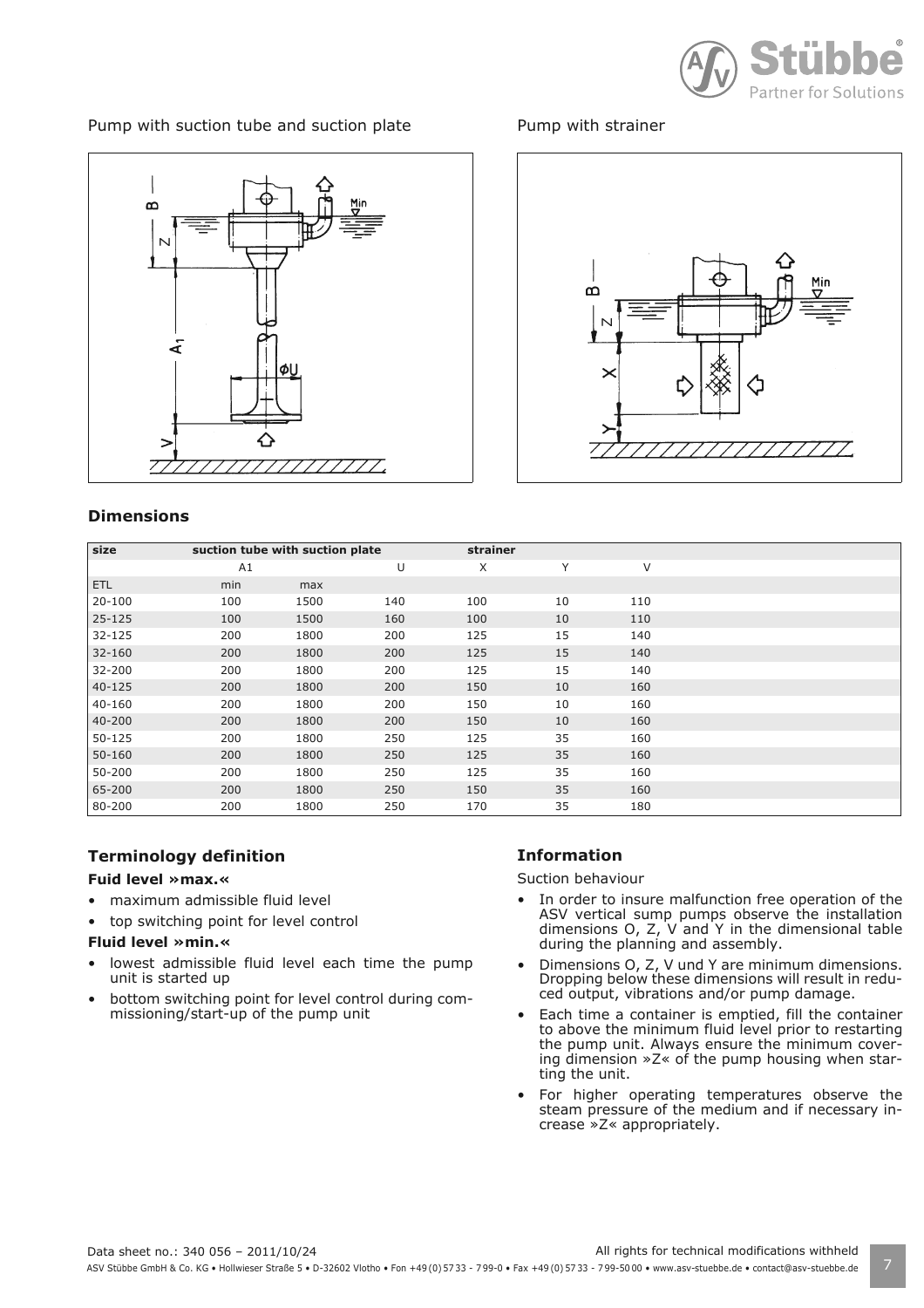

Pump with suction tube and suction plate



#### **Dimensions**

# $\Omega$ N 77777

Pump with strainer

| size       | suction tube with suction plate |      |     | strainer |    |     |  |
|------------|---------------------------------|------|-----|----------|----|-----|--|
|            | A1                              |      | U   | X        | Υ  | V   |  |
| <b>ETL</b> | min                             | max  |     |          |    |     |  |
| $20 - 100$ | 100                             | 1500 | 140 | 100      | 10 | 110 |  |
| $25 - 125$ | 100                             | 1500 | 160 | 100      | 10 | 110 |  |
| $32 - 125$ | 200                             | 1800 | 200 | 125      | 15 | 140 |  |
| $32 - 160$ | 200                             | 1800 | 200 | 125      | 15 | 140 |  |
| 32-200     | 200                             | 1800 | 200 | 125      | 15 | 140 |  |
| $40 - 125$ | 200                             | 1800 | 200 | 150      | 10 | 160 |  |
| 40-160     | 200                             | 1800 | 200 | 150      | 10 | 160 |  |
| 40-200     | 200                             | 1800 | 200 | 150      | 10 | 160 |  |
| 50-125     | 200                             | 1800 | 250 | 125      | 35 | 160 |  |
| $50 - 160$ | 200                             | 1800 | 250 | 125      | 35 | 160 |  |
| 50-200     | 200                             | 1800 | 250 | 125      | 35 | 160 |  |
| 65-200     | 200                             | 1800 | 250 | 150      | 35 | 160 |  |
| 80-200     | 200                             | 1800 | 250 | 170      | 35 | 180 |  |

#### **Terminology definition**

#### **Fuid level »max.«**

- maximum admissible fluid level
- top switching point for level control

#### **Fluid level »min.«**

- lowest admissible fluid level each time the pump unit is started up
- bottom switching point for level control during commissioning/start-up of the pump unit

#### **Information**

Suction behaviour

- In order to insure malfunction free operation of the ASV vertical sump pumps observe the installation dimensions O, Z, V and Y in the dimensional table during the planning and assembly.
- Dimensions O, Z, V und Y are minimum dimensions. Dropping below these dimensions will result in reduced output, vibrations and/or pump damage.
- Each time a container is emptied, fill the container to above the minimum fluid level prior to restarting the pump unit. Always ensure the minimum covering dimension »Z« of the pump housing when starting the unit.
- For higher operating temperatures observe the steam pressure of the medium and if necessary increase »Z« appropriately.